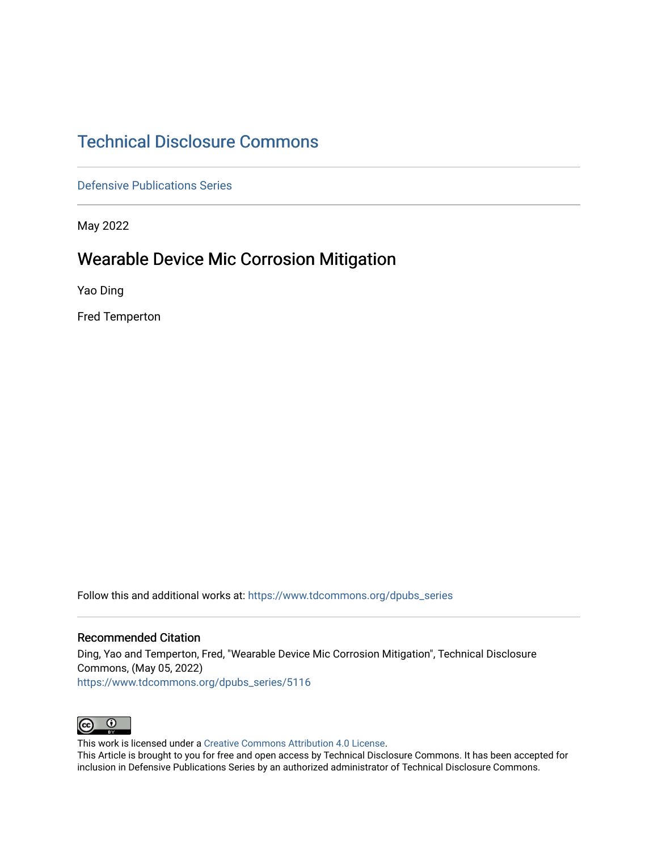# [Technical Disclosure Commons](https://www.tdcommons.org/)

[Defensive Publications Series](https://www.tdcommons.org/dpubs_series)

May 2022

## Wearable Device Mic Corrosion Mitigation

Yao Ding

Fred Temperton

Follow this and additional works at: [https://www.tdcommons.org/dpubs\\_series](https://www.tdcommons.org/dpubs_series?utm_source=www.tdcommons.org%2Fdpubs_series%2F5116&utm_medium=PDF&utm_campaign=PDFCoverPages) 

#### Recommended Citation

Ding, Yao and Temperton, Fred, "Wearable Device Mic Corrosion Mitigation", Technical Disclosure Commons, (May 05, 2022) [https://www.tdcommons.org/dpubs\\_series/5116](https://www.tdcommons.org/dpubs_series/5116?utm_source=www.tdcommons.org%2Fdpubs_series%2F5116&utm_medium=PDF&utm_campaign=PDFCoverPages)



This work is licensed under a [Creative Commons Attribution 4.0 License](http://creativecommons.org/licenses/by/4.0/deed.en_US).

This Article is brought to you for free and open access by Technical Disclosure Commons. It has been accepted for inclusion in Defensive Publications Series by an authorized administrator of Technical Disclosure Commons.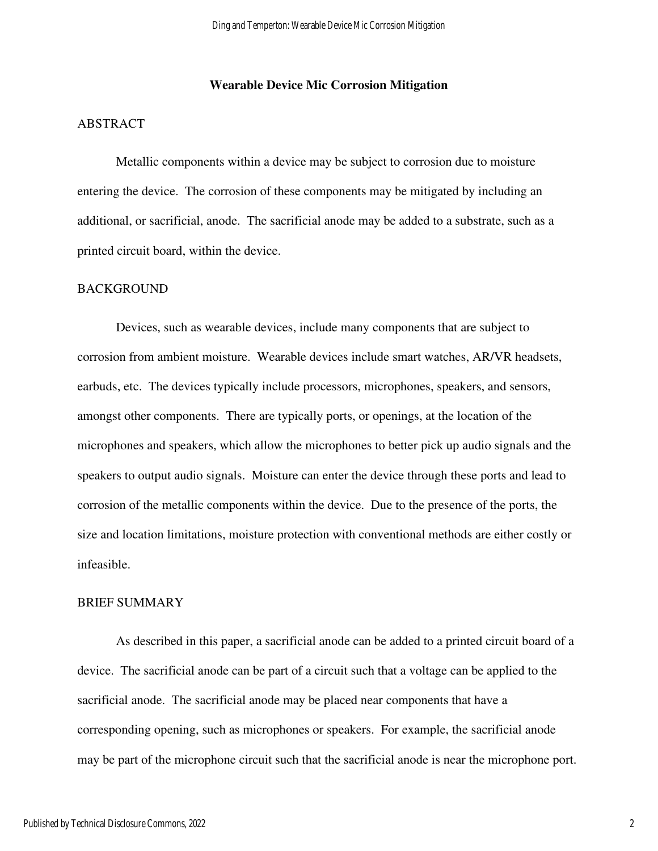#### **Wearable Device Mic Corrosion Mitigation**

#### ABSTRACT

 Metallic components within a device may be subject to corrosion due to moisture entering the device. The corrosion of these components may be mitigated by including an additional, or sacrificial, anode. The sacrificial anode may be added to a substrate, such as a printed circuit board, within the device.

#### BACKGROUND

 Devices, such as wearable devices, include many components that are subject to corrosion from ambient moisture. Wearable devices include smart watches, AR/VR headsets, earbuds, etc. The devices typically include processors, microphones, speakers, and sensors, amongst other components. There are typically ports, or openings, at the location of the microphones and speakers, which allow the microphones to better pick up audio signals and the speakers to output audio signals. Moisture can enter the device through these ports and lead to corrosion of the metallic components within the device. Due to the presence of the ports, the size and location limitations, moisture protection with conventional methods are either costly or infeasible.

#### BRIEF SUMMARY

 As described in this paper, a sacrificial anode can be added to a printed circuit board of a device. The sacrificial anode can be part of a circuit such that a voltage can be applied to the sacrificial anode. The sacrificial anode may be placed near components that have a corresponding opening, such as microphones or speakers. For example, the sacrificial anode may be part of the microphone circuit such that the sacrificial anode is near the microphone port.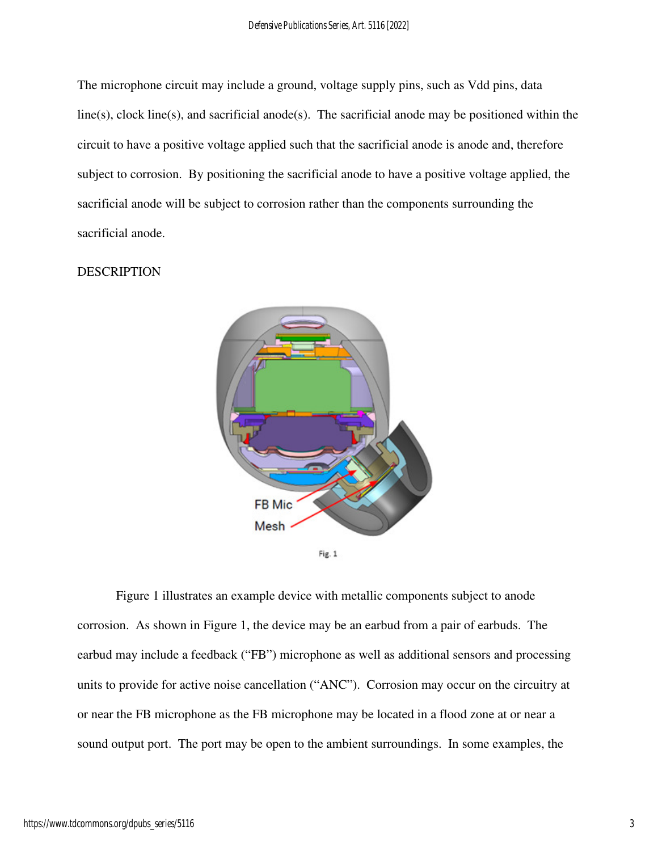The microphone circuit may include a ground, voltage supply pins, such as Vdd pins, data line(s), clock line(s), and sacrificial anode(s). The sacrificial anode may be positioned within the circuit to have a positive voltage applied such that the sacrificial anode is anode and, therefore subject to corrosion. By positioning the sacrificial anode to have a positive voltage applied, the sacrificial anode will be subject to corrosion rather than the components surrounding the sacrificial anode.

### **DESCRIPTION**





 Figure 1 illustrates an example device with metallic components subject to anode corrosion. As shown in Figure 1, the device may be an earbud from a pair of earbuds. The earbud may include a feedback ("FB") microphone as well as additional sensors and processing units to provide for active noise cancellation ("ANC"). Corrosion may occur on the circuitry at or near the FB microphone as the FB microphone may be located in a flood zone at or near a sound output port. The port may be open to the ambient surroundings. In some examples, the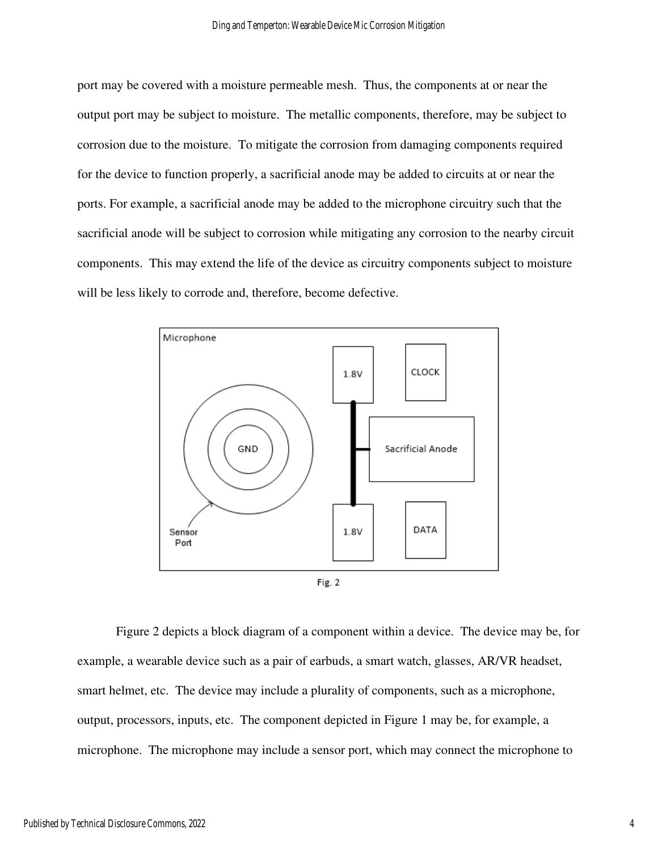port may be covered with a moisture permeable mesh. Thus, the components at or near the output port may be subject to moisture. The metallic components, therefore, may be subject to corrosion due to the moisture. To mitigate the corrosion from damaging components required for the device to function properly, a sacrificial anode may be added to circuits at or near the ports. For example, a sacrificial anode may be added to the microphone circuitry such that the sacrificial anode will be subject to corrosion while mitigating any corrosion to the nearby circuit components. This may extend the life of the device as circuitry components subject to moisture will be less likely to corrode and, therefore, become defective.



 Figure 2 depicts a block diagram of a component within a device. The device may be, for example, a wearable device such as a pair of earbuds, a smart watch, glasses, AR/VR headset, smart helmet, etc. The device may include a plurality of components, such as a microphone, output, processors, inputs, etc. The component depicted in Figure 1 may be, for example, a microphone. The microphone may include a sensor port, which may connect the microphone to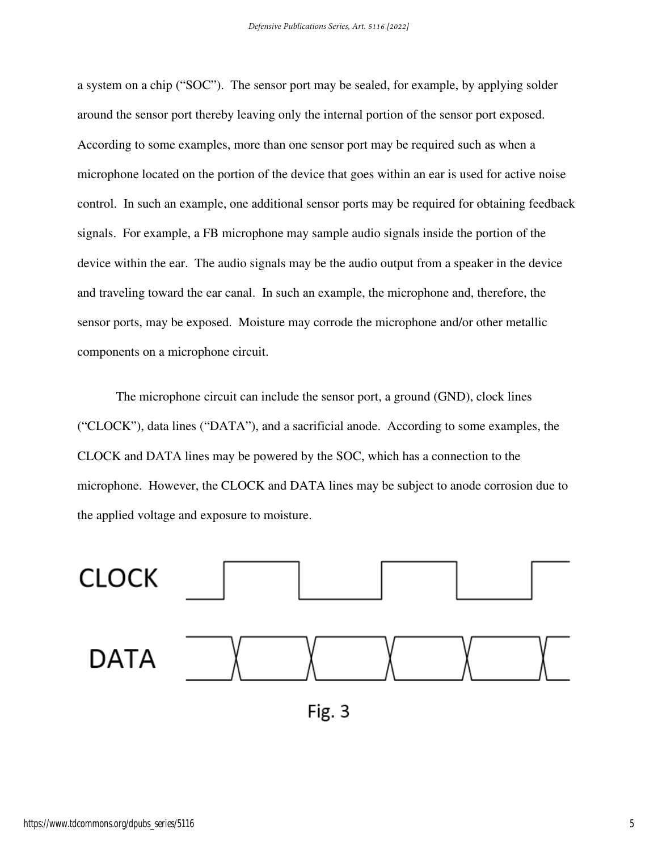a system on a chip ("SOC"). The sensor port may be sealed, for example, by applying solder around the sensor port thereby leaving only the internal portion of the sensor port exposed. According to some examples, more than one sensor port may be required such as when a microphone located on the portion of the device that goes within an ear is used for active noise control. In such an example, one additional sensor ports may be required for obtaining feedback signals. For example, a FB microphone may sample audio signals inside the portion of the device within the ear. The audio signals may be the audio output from a speaker in the device and traveling toward the ear canal. In such an example, the microphone and, therefore, the sensor ports, may be exposed. Moisture may corrode the microphone and/or other metallic components on a microphone circuit.

The microphone circuit can include the sensor port, a ground (GND), clock lines ("CLOCK"), data lines ("DATA"), and a sacrificial anode. According to some examples, the CLOCK and DATA lines may be powered by the SOC, which has a connection to the microphone. However, the CLOCK and DATA lines may be subject to anode corrosion due to the applied voltage and exposure to moisture.